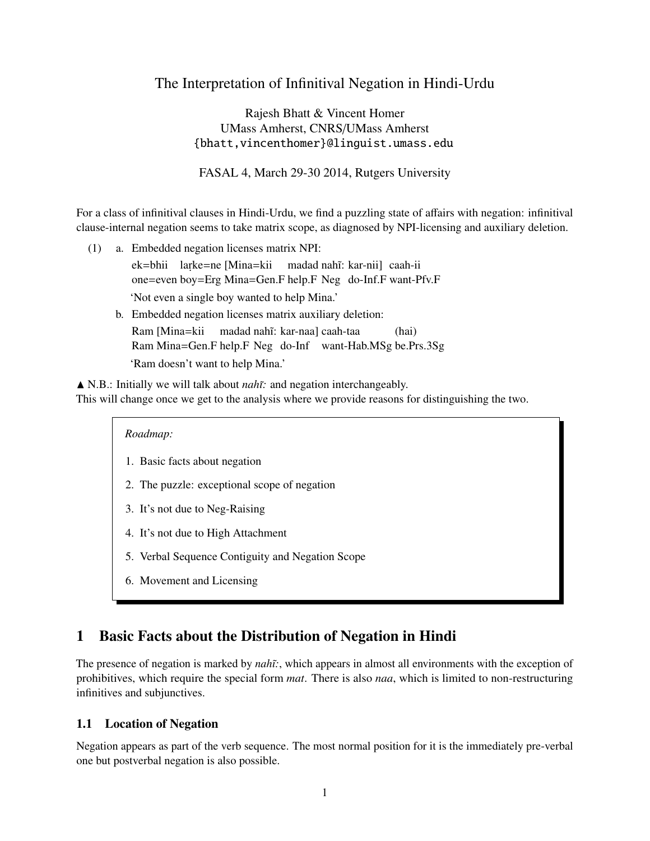# The Interpretation of Infinitival Negation in Hindi-Urdu

Rajesh Bhatt & Vincent Homer UMass Amherst, CNRS/UMass Amherst {bhatt,vincenthomer}@linguist.umass.edu

FASAL 4, March 29-30 2014, Rutgers University

For a class of infinitival clauses in Hindi-Urdu, we find a puzzling state of affairs with negation: infinitival clause-internal negation seems to take matrix scope, as diagnosed by NPI-licensing and auxiliary deletion.

(1) a. Embedded negation licenses matrix NPI:

ek=bhii larke=ne [Mina=kii madad nahĩ: kar-nii] caah-ii one=even boy=Erg Mina=Gen.F help.F Neg do-Inf.F want-Pfv.F 'Not even a single boy wanted to help Mina.'

b. Embedded negation licenses matrix auxiliary deletion: Ram [Mina=kii Ram Mina=Gen.F help.F Neg do-Inf want-Hab.MSg be.Prs.3Sg madad nahĩ: kar-naa] caah-taa (hai) 'Ram doesn't want to help Mina.'

▲ N.B.: Initially we will talk about *nahī*: and negation interchangeably. This will change once we get to the analysis where we provide reasons for distinguishing the two.

## *Roadmap:*

- 1. Basic facts about negation
- 2. The puzzle: exceptional scope of negation
- 3. It's not due to Neg-Raising
- 4. It's not due to High Attachment
- 5. Verbal Sequence Contiguity and Negation Scope
- 6. Movement and Licensing

# 1 Basic Facts about the Distribution of Negation in Hindi

The presence of negation is marked by *nah˜ı:*, which appears in almost all environments with the exception of prohibitives, which require the special form *mat*. There is also *naa*, which is limited to non-restructuring infinitives and subjunctives.

## 1.1 Location of Negation

Negation appears as part of the verb sequence. The most normal position for it is the immediately pre-verbal one but postverbal negation is also possible.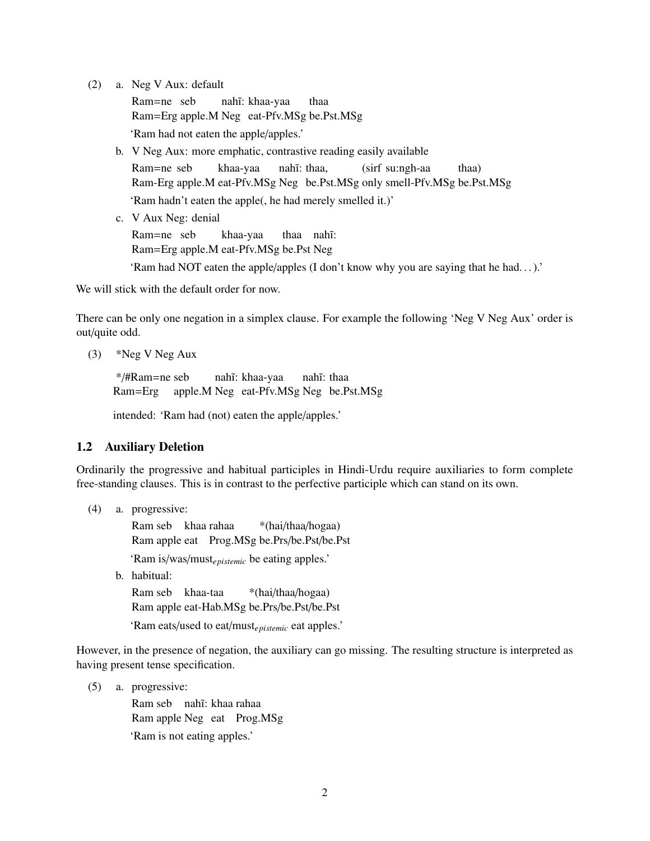(2) a. Neg V Aux: default

Ram=ne seb Ram=Erg apple.M Neg eat-Pfv.MSg be.Pst.MSg nahĩ: khaa-yaa thaa 'Ram had not eaten the apple/apples.'

- b. V Neg Aux: more emphatic, contrastive reading easily available Ram=ne seb Ram-Erg apple.M eat-Pfv.MSg Neg be.Pst.MSg only smell-Pfv.MSg be.Pst.MSg khaa-yaa nahĩ: thaa, (sirf su:ngh-aa thaa) 'Ram hadn't eaten the apple(, he had merely smelled it.)'
- c. V Aux Neg: denial

Ram=ne seb Ram=Erg apple.M eat-Pfv.MSg be.Pst Neg khaa-yaa thaa nahĩ:

'Ram had NOT eaten the apple/apples (I don't know why you are saying that he had. . . ).'

We will stick with the default order for now.

There can be only one negation in a simplex clause. For example the following 'Neg V Neg Aux' order is out/quite odd.

(3) \*Neg V Neg Aux

\*/#Ram=ne seb Ram=Erg apple.M Neg eat-Pfv.MSg Neg be.Pst.MSg nahĩ: khaa-yaa nahĩ: thaa

intended: 'Ram had (not) eaten the apple/apples.'

## 1.2 Auxiliary Deletion

Ordinarily the progressive and habitual participles in Hindi-Urdu require auxiliaries to form complete free-standing clauses. This is in contrast to the perfective participle which can stand on its own.

(4) a. progressive:

Ram seb khaa rahaa Ram apple eat Prog.MSg be.Prs/be.Pst/be.Pst \*(hai/thaa/hogaa)

'Ram is/was/must*epistemic* be eating apples.'

b. habitual:

Ram seb khaa-taa Ram apple eat-Hab.MSg be.Prs/be.Pst/be.Pst \*(hai/thaa/hogaa)

'Ram eats/used to eat/must*epistemic* eat apples.'

However, in the presence of negation, the auxiliary can go missing. The resulting structure is interpreted as having present tense specification.

(5) a. progressive:

Ram seb nahĩ: khaa rahaa Ram apple Neg eat Prog.MSg 'Ram is not eating apples.'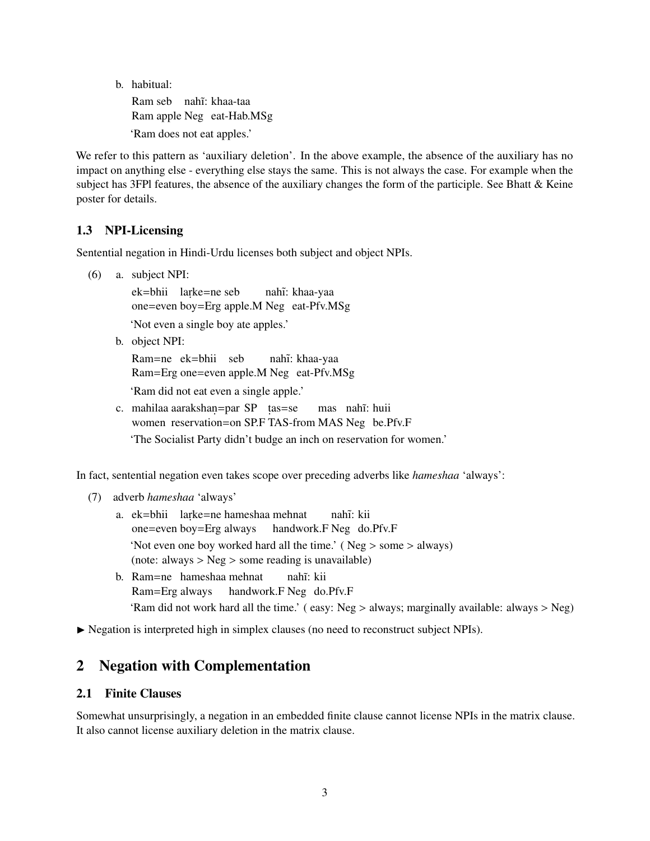b. habitual: Ram seb nahĩ: khaa-taa Ram apple Neg eat-Hab.MSg

'Ram does not eat apples.'

We refer to this pattern as 'auxiliary deletion'. In the above example, the absence of the auxiliary has no impact on anything else - everything else stays the same. This is not always the case. For example when the subject has 3FPI features, the absence of the auxiliary changes the form of the participle. See Bhatt  $\&$  Keine poster for details.

## 1.3 NPI-Licensing

Sentential negation in Hindi-Urdu licenses both subject and object NPIs.

(6) a. subject NPI:

ek=bhii larke=ne seb one=even boy=Erg apple.M Neg eat-Pfv.MSg nahĩ: khaa-yaa

'Not even a single boy ate apples.'

b. object NPI:

Ram=ne ek=bhii seb Ram=Erg one=even apple.M Neg eat-Pfv.MSg nahĩ: khaa-yaa

- 'Ram did not eat even a single apple.'
- c. mahilaa aarakshan=par SP tas=se women reservation=on SP.F TAS-from MAS Neg be.Pfv.F mas nahĩ: huii 'The Socialist Party didn't budge an inch on reservation for women.'

In fact, sentential negation even takes scope over preceding adverbs like *hameshaa* 'always':

- (7) adverb *hameshaa* 'always'
	- a. ek=bhii larke=ne hameshaa mehnat one=even boy=Erg always handwork.F Neg do.Pfv.F nahĩ: kii 'Not even one boy worked hard all the time.' ( Neg > some > always) (note: always > Neg > some reading is unavailable)
	- b. Ram=ne hameshaa mehnat Ram=Erg always handwork.F Neg do.Pfv.F nahĩ: kii 'Ram did not work hard all the time.' ( easy: Neg > always; marginally available: always > Neg)

 $\triangleright$  Negation is interpreted high in simplex clauses (no need to reconstruct subject NPIs).

# 2 Negation with Complementation

## 2.1 Finite Clauses

Somewhat unsurprisingly, a negation in an embedded finite clause cannot license NPIs in the matrix clause. It also cannot license auxiliary deletion in the matrix clause.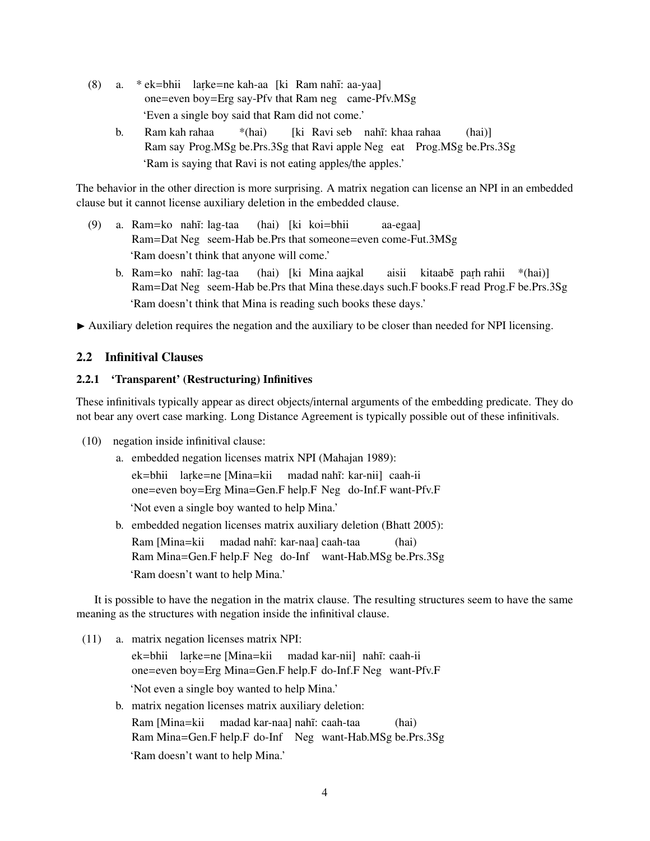- (8) a. \* ek=bhii larke=ne kah-aa [ki Ram nahĩ: aa-yaa] one=even boy=Erg say-Pfv that Ram neg came-Pfv.MSg 'Even a single boy said that Ram did not come.'
	- b. Ram kah rahaa Ram say Prog.MSg be.Prs.3Sg that Ravi apple Neg eat Prog.MSg be.Prs.3Sg \*(hai) [ki Ravi seb nahī: khaa rahaa (hai)] 'Ram is saying that Ravi is not eating apples/the apples.'

The behavior in the other direction is more surprising. A matrix negation can license an NPI in an embedded clause but it cannot license auxiliary deletion in the embedded clause.

- (9) a. Ram=ko nah˜ı: lag-taa Ram=Dat Neg seem-Hab be.Prs that someone=even come-Fut.3MSg (hai) [ki koi=bhii aa-egaa] 'Ram doesn't think that anyone will come.'
	- b. Ram=ko nahî: lag-taa Ram=Dat Neg seem-Hab be.Prs that Mina these.days such.F books.F read Prog.F be.Prs.3Sg (hai) [ki Mina aajkal aisii kitaabe parh rahii \*(hai)] 'Ram doesn't think that Mina is reading such books these days.'
- $\blacktriangleright$  Auxiliary deletion requires the negation and the auxiliary to be closer than needed for NPI licensing.

#### 2.2 Infinitival Clauses

## 2.2.1 'Transparent' (Restructuring) Infinitives

These infinitivals typically appear as direct objects/internal arguments of the embedding predicate. They do not bear any overt case marking. Long Distance Agreement is typically possible out of these infinitivals.

- (10) negation inside infinitival clause:
	- a. embedded negation licenses matrix NPI (Mahajan 1989): ek=bhii larke=ne [Mina=kii madad nahĩ: kar-nii] caah-ii one=even boy=Erg Mina=Gen.F help.F Neg do-Inf.F want-Pfv.F 'Not even a single boy wanted to help Mina.' b. embedded negation licenses matrix auxiliary deletion (Bhatt 2005):
	- Ram [Mina=kii Ram Mina=Gen.F help.F Neg do-Inf want-Hab.MSg be.Prs.3Sg madad nahĩ: kar-naa] caah-taa (hai) 'Ram doesn't want to help Mina.'

It is possible to have the negation in the matrix clause. The resulting structures seem to have the same meaning as the structures with negation inside the infinitival clause.

- (11) a. matrix negation licenses matrix NPI: ek=bhii larke=ne [Mina=kii one=even boy=Erg Mina=Gen.F help.F do-Inf.F Neg want-Pfv.F madad kar-nii] nahī: caah-ii 'Not even a single boy wanted to help Mina.' b. matrix negation licenses matrix auxiliary deletion:
	- Ram [Mina=kii Ram Mina=Gen.F help.F do-Inf Neg want-Hab.MSg be.Prs.3Sg madad kar-naa] nah˜ı: caah-taa (hai) 'Ram doesn't want to help Mina.'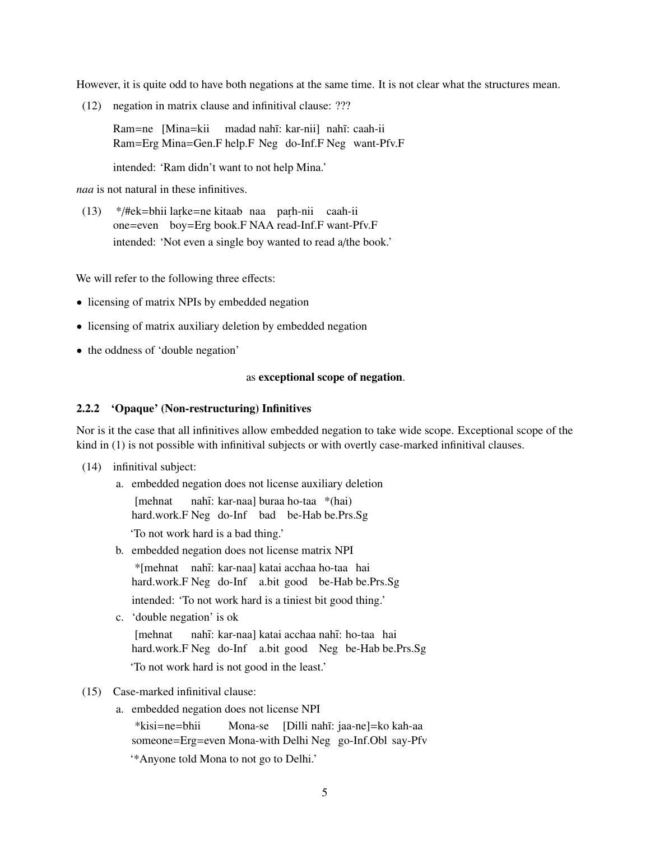However, it is quite odd to have both negations at the same time. It is not clear what the structures mean.

(12) negation in matrix clause and infinitival clause: ???

Ram=ne [Mina=kii Ram=Erg Mina=Gen.F help.F Neg do-Inf.F Neg want-Pfv.F madad nahĩ: kar-nii] nahĩ: caah-ii

intended: 'Ram didn't want to not help Mina.'

*naa* is not natural in these infinitives.

(13) \*/#ek=bhii larke=ne kitaab naa parh-nii caah-ii one=even boy=Erg book.F NAA read-Inf.F want-Pfv.F intended: 'Not even a single boy wanted to read a/the book.'

We will refer to the following three effects:

- licensing of matrix NPIs by embedded negation
- licensing of matrix auxiliary deletion by embedded negation
- the oddness of 'double negation'

#### as exceptional scope of negation.

#### 2.2.2 'Opaque' (Non-restructuring) Infinitives

Nor is it the case that all infinitives allow embedded negation to take wide scope. Exceptional scope of the kind in (1) is not possible with infinitival subjects or with overtly case-marked infinitival clauses.

- (14) infinitival subject:
	- a. embedded negation does not license auxiliary deletion

[mehnat nahĩ: kar-naa] buraa ho-taa \*(hai)

hard.work.F Neg do-Inf bad be-Hab be.Prs.Sg

'To not work hard is a bad thing.'

b. embedded negation does not license matrix NPI

\*[mehnat nah˜ı: kar-naa] katai acchaa ho-taa hai hard.work.F Neg do-Inf a.bit good be-Hab be.Prs.Sg intended: 'To not work hard is a tiniest bit good thing.'

c. 'double negation' is ok **I**mehnat nahĩ: kar-naa] katai acchaa nahĩ: ho-taa hai

hard.work.F Neg do-Inf a.bit good Neg be-Hab be.Prs.Sg

'To not work hard is not good in the least.'

- (15) Case-marked infinitival clause:
	- a. embedded negation does not license NPI

\*kisi=ne=bhii someone=Erg=even Mona-with Delhi Neg go-Inf.Obl say-Pfv Mona-se [Dilli nahĩ: jaa-ne]=ko kah-aa

'\*Anyone told Mona to not go to Delhi.'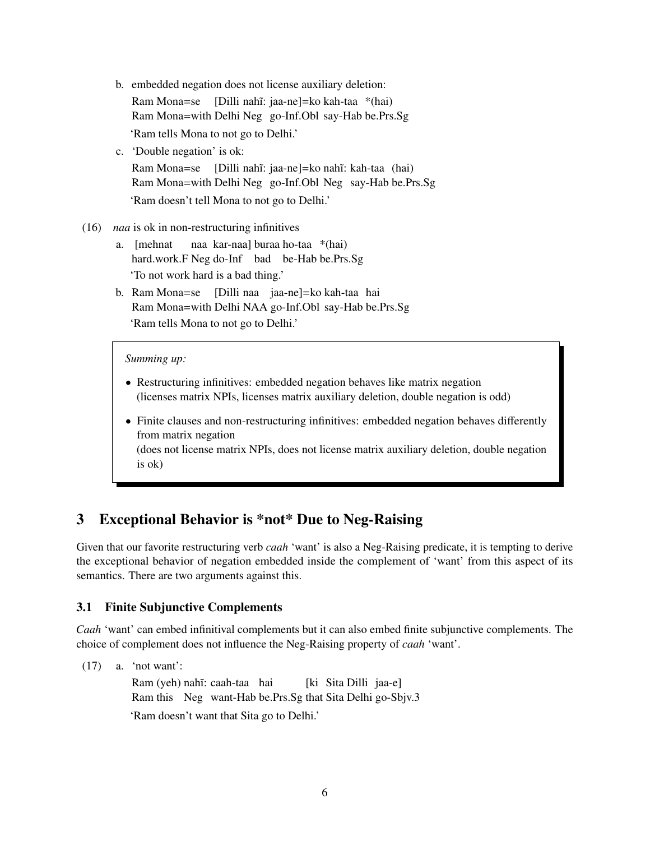- b. embedded negation does not license auxiliary deletion: Ram Mona=se [Dilli nahĩ: jaa-ne]=ko kah-taa \*(hai) Ram Mona=with Delhi Neg go-Inf.Obl say-Hab be.Prs.Sg 'Ram tells Mona to not go to Delhi.'
- c. 'Double negation' is ok:

Ram Mona=se [Dilli nahî: jaa-ne]=ko nahî: kah-taa (hai) Ram Mona=with Delhi Neg go-Inf.Obl Neg say-Hab be.Prs.Sg 'Ram doesn't tell Mona to not go to Delhi.'

- (16) *naa* is ok in non-restructuring infinitives
	- a. [mehnat hard.work.F Neg do-Inf bad be-Hab be.Prs.Sg naa kar-naa] buraa ho-taa \*(hai) 'To not work hard is a bad thing.'
	- b. Ram Mona=se [Dilli naa jaa-ne]=ko kah-taa hai Ram Mona=with Delhi NAA go-Inf.Obl say-Hab be.Prs.Sg 'Ram tells Mona to not go to Delhi.'

#### *Summing up:*

- Restructuring infinitives: embedded negation behaves like matrix negation (licenses matrix NPIs, licenses matrix auxiliary deletion, double negation is odd)
- Finite clauses and non-restructuring infinitives: embedded negation behaves differently from matrix negation

(does not license matrix NPIs, does not license matrix auxiliary deletion, double negation is ok)

# 3 Exceptional Behavior is \*not\* Due to Neg-Raising

Given that our favorite restructuring verb *caah* 'want' is also a Neg-Raising predicate, it is tempting to derive the exceptional behavior of negation embedded inside the complement of 'want' from this aspect of its semantics. There are two arguments against this.

## 3.1 Finite Subjunctive Complements

*Caah* 'want' can embed infinitival complements but it can also embed finite subjunctive complements. The choice of complement does not influence the Neg-Raising property of *caah* 'want'.

(17) a. 'not want':

Ram (yeh) nahĩ: caah-taa hai Ram this Neg want-Hab be.Prs.Sg that Sita Delhi go-Sbjv.3 [ki Sita Dilli jaa-e] 'Ram doesn't want that Sita go to Delhi.'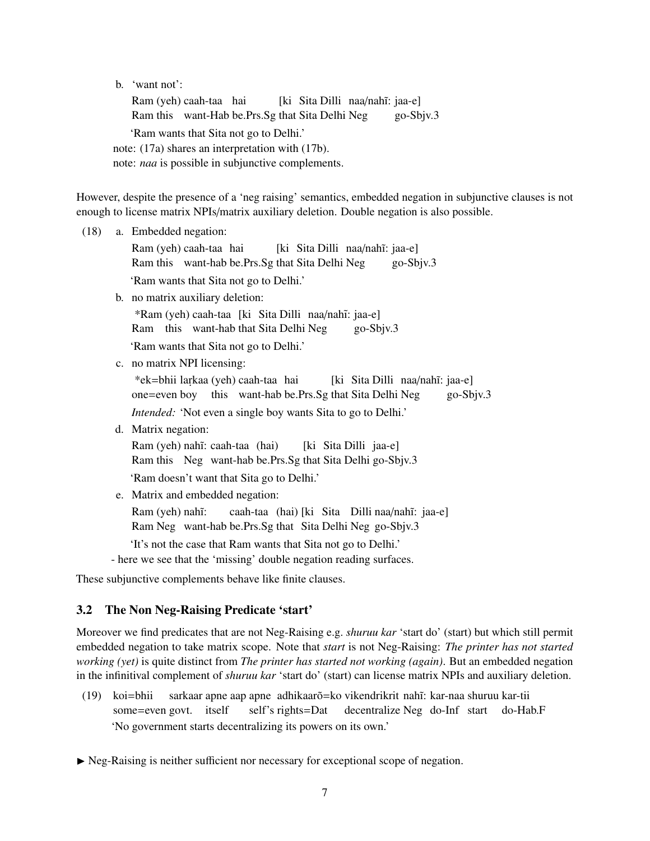b. 'want not':

Ram (yeh) caah-taa hai Ram this want-Hab be.Prs.Sg that Sita Delhi Neg [ki Sita Dilli naa/nahī: jaa-e] go-Sbjv.3 'Ram wants that Sita not go to Delhi.' note: (17a) shares an interpretation with (17b). note: *naa* is possible in subjunctive complements.

However, despite the presence of a 'neg raising' semantics, embedded negation in subjunctive clauses is not enough to license matrix NPIs/matrix auxiliary deletion. Double negation is also possible.

(18) a. Embedded negation: Ram (yeh) caah-taa hai Ram this want-hab be.Prs.Sg that Sita Delhi Neg [ki Sita Dilli naa/nahī: jaa-e] go-Sbjv.3 'Ram wants that Sita not go to Delhi.' b. no matrix auxiliary deletion: \*Ram (yeh) caah-taa [ki Sita Dilli naa/nah˜ı: jaa-e] Ram this want-hab that Sita Delhi Neg go-Sbjv.3 'Ram wants that Sita not go to Delhi.' c. no matrix NPI licensing: \*ek=bhii lar.kaa (yeh) caah-taa hai one=even boy this want-hab be.Prs.Sg that Sita Delhi Neg [ki Sita Dilli naa/nahī: jaa-e] go-Sbjv.3 *Intended:* 'Not even a single boy wants Sita to go to Delhi.' d. Matrix negation: Ram (yeh) nahĩ: caah-taa (hai) Ram this Neg want-hab be.Prs.Sg that Sita Delhi go-Sbjv.3 [ki Sita Dilli jaa-e] 'Ram doesn't want that Sita go to Delhi.' e. Matrix and embedded negation: Ram (yeh) nahĩ: Ram Neg want-hab be.Prs.Sg that Sita Delhi Neg go-Sbjv.3 caah-taa (hai) [ki Sita Dilli naa/nahĩ: jaa-e] 'It's not the case that Ram wants that Sita not go to Delhi.' - here we see that the 'missing' double negation reading surfaces.

These subjunctive complements behave like finite clauses.

## 3.2 The Non Neg-Raising Predicate 'start'

Moreover we find predicates that are not Neg-Raising e.g. *shuruu kar* 'start do' (start) but which still permit embedded negation to take matrix scope. Note that *start* is not Neg-Raising: *The printer has not started working (yet)* is quite distinct from *The printer has started not working (again)*. But an embedded negation in the infinitival complement of *shuruu kar* 'start do' (start) can license matrix NPIs and auxiliary deletion.

(19) koi=bhii some=even govt. itself sarkaar apne aap apne adhikaarõ=ko vikendrikrit nahĩ: kar-naa shuruu kar-tii self's rights=Dat decentralize Neg do-Inf start do-Hab.F 'No government starts decentralizing its powers on its own.'

 $\triangleright$  Neg-Raising is neither sufficient nor necessary for exceptional scope of negation.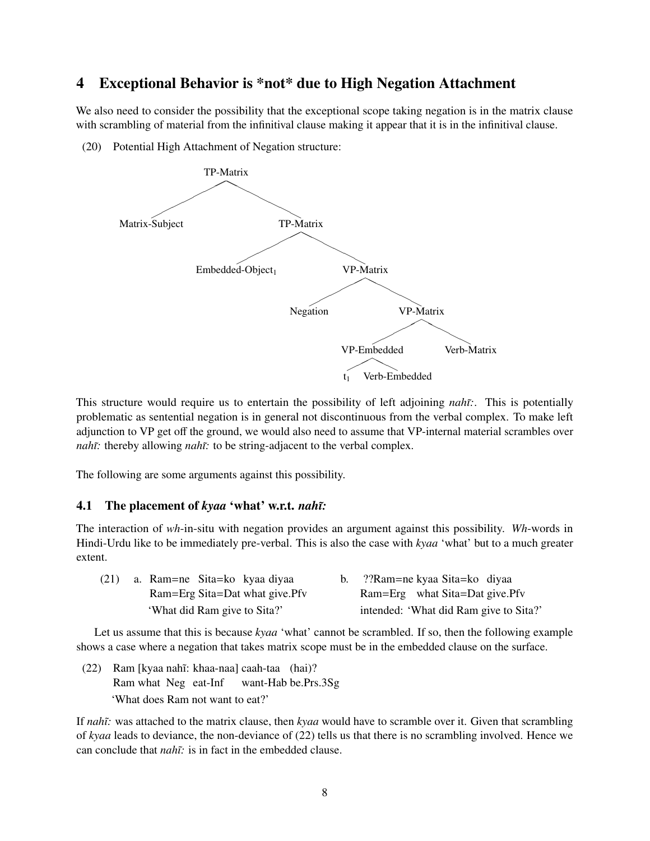# 4 Exceptional Behavior is \*not\* due to High Negation Attachment

We also need to consider the possibility that the exceptional scope taking negation is in the matrix clause with scrambling of material from the infinitival clause making it appear that it is in the infinitival clause.

(20) Potential High Attachment of Negation structure:



This structure would require us to entertain the possibility of left adjoining *nah˜ı:*. This is potentially problematic as sentential negation is in general not discontinuous from the verbal complex. To make left adjunction to VP get off the ground, we would also need to assume that VP-internal material scrambles over *nahĩ:* thereby allowing *nahĩ:* to be string-adjacent to the verbal complex.

The following are some arguments against this possibility.

## 4.1 The placement of *kyaa* 'what' w.r.t. *nah˜ı:*

The interaction of *wh*-in-situ with negation provides an argument against this possibility. *Wh*-words in Hindi-Urdu like to be immediately pre-verbal. This is also the case with *kyaa* 'what' but to a much greater extent.

| (21) | a. Ram=ne Sita=ko kyaa diyaa   | b. ??Ram=ne kyaa Sita=ko diyaa         |
|------|--------------------------------|----------------------------------------|
|      | Ram=Erg Sita=Dat what give.Pfv | Ram=Erg what Sita=Dat give.Pfv         |
|      | 'What did Ram give to Sita?'   | intended: 'What did Ram give to Sita?' |

Let us assume that this is because *kyaa* 'what' cannot be scrambled. If so, then the following example shows a case where a negation that takes matrix scope must be in the embedded clause on the surface.

(22) Ram [kyaa nah˜ı: khaa-naa] caah-taa (hai)? Ram what Neg eat-Inf want-Hab be.Prs.3Sg 'What does Ram not want to eat?'

If *nah˜ı:* was attached to the matrix clause, then *kyaa* would have to scramble over it. Given that scrambling of *kyaa* leads to deviance, the non-deviance of (22) tells us that there is no scrambling involved. Hence we can conclude that *nah˜ı:* is in fact in the embedded clause.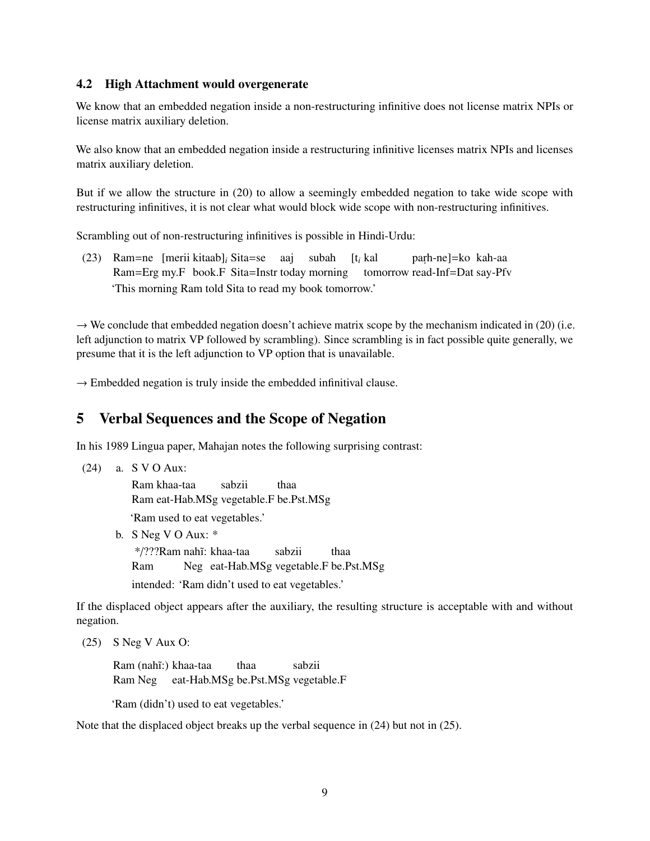## 4.2 High Attachment would overgenerate

We know that an embedded negation inside a non-restructuring infinitive does not license matrix NPIs or license matrix auxiliary deletion.

We also know that an embedded negation inside a restructuring infinitive licenses matrix NPIs and licenses matrix auxiliary deletion.

But if we allow the structure in (20) to allow a seemingly embedded negation to take wide scope with restructuring infinitives, it is not clear what would block wide scope with non-restructuring infinitives.

Scrambling out of non-restructuring infinitives is possible in Hindi-Urdu:

(23) Ram=ne [merii kitaab]*<sup>i</sup>* Sita=se aaj Ram=Erg my.F book.F Sita=Instr today morning tomorrow read-Inf=Dat say-Pfv subah [t*<sup>i</sup>* kal paṛh-ne]=ko kah-aa 'This morning Ram told Sita to read my book tomorrow.'

 $\rightarrow$  We conclude that embedded negation doesn't achieve matrix scope by the mechanism indicated in (20) (i.e. left adjunction to matrix VP followed by scrambling). Since scrambling is in fact possible quite generally, we presume that it is the left adjunction to VP option that is unavailable.

 $\rightarrow$  Embedded negation is truly inside the embedded infinitival clause.

## 5 Verbal Sequences and the Scope of Negation

In his 1989 Lingua paper, Mahajan notes the following surprising contrast:

```
(24) a. S V O Aux:
```
Ram khaa-taa Ram eat-Hab.MSg vegetable.F be.Pst.MSg sabzii thaa

'Ram used to eat vegetables.'

b. S Neg V O Aux: \*

\*/???Ram nah˜ı: khaa-taa Ram Neg eat-Hab.MSg vegetable.F be.Pst.MSg sabzii thaa intended: 'Ram didn't used to eat vegetables.'

If the displaced object appears after the auxiliary, the resulting structure is acceptable with and without negation.

(25) S Neg V Aux O:

Ram (nahĩ:) khaa-taa Ram Neg eat-Hab.MSg be.Pst.MSg vegetable.F thaa sabzii

'Ram (didn't) used to eat vegetables.'

Note that the displaced object breaks up the verbal sequence in (24) but not in (25).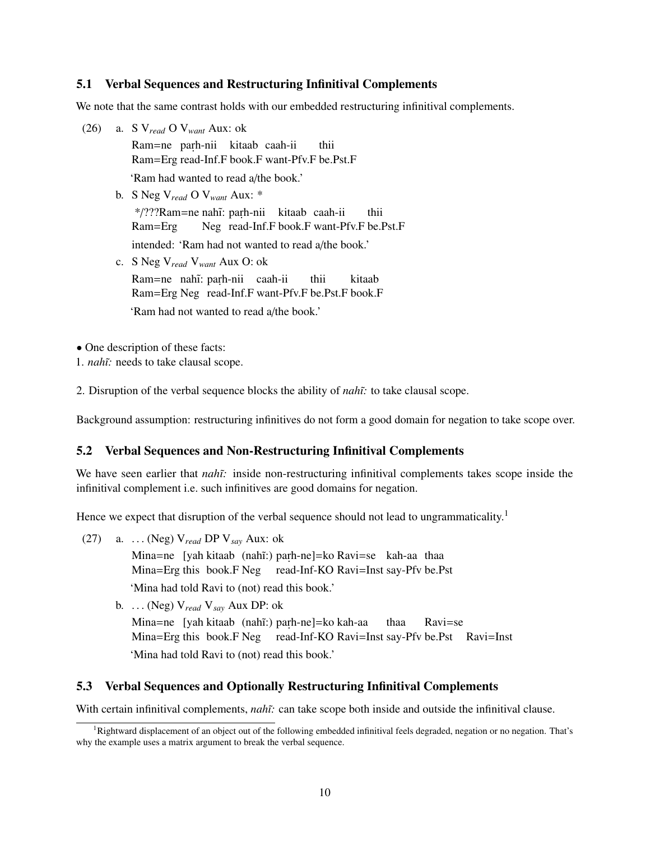## 5.1 Verbal Sequences and Restructuring Infinitival Complements

We note that the same contrast holds with our embedded restructuring infinitival complements.

- (26) a. S V*read* O V*want* Aux: ok Ram=ne parh-nii kitaab caah-ii Ram=Erg read-Inf.F book.F want-Pfv.F be.Pst.F thii 'Ram had wanted to read a/the book.'
	- b. S Neg V*read* O V*want* Aux: \* \*/???Ram=ne nahī: parh-nii kitaab caah-ii Ram=Erg Neg read-Inf.F book.F want-Pfv.F be.Pst.F thii intended: 'Ram had not wanted to read a/the book.'
	- c. S Neg V*read* V*want* Aux O: ok Ram=ne nahĩ: paṛh-nii caah-ii Ram=Erg Neg read-Inf.F want-Pfv.F be.Pst.F book.F thii kitaab 'Ram had not wanted to read a/the book.'

• One description of these facts:

1. *nah˜ı:* needs to take clausal scope.

2. Disruption of the verbal sequence blocks the ability of *nah˜ı:* to take clausal scope.

Background assumption: restructuring infinitives do not form a good domain for negation to take scope over.

## 5.2 Verbal Sequences and Non-Restructuring Infinitival Complements

We have seen earlier that *nahi*: inside non-restructuring infinitival complements takes scope inside the infinitival complement i.e. such infinitives are good domains for negation.

Hence we expect that disruption of the verbal sequence should not lead to ungrammaticality.<sup>1</sup>

(27) a. . . . (Neg) V*read* DP V*say* Aux: ok

Mina=ne [yah kitaab (nahĩ:) parh-ne]=ko Ravi=se kah-aa thaa Mina=Erg this book.F Neg read-Inf-KO Ravi=Inst say-Pfv be.Pst

'Mina had told Ravi to (not) read this book.'

b. . . . (Neg) V*read* <sup>V</sup>*say* Aux DP: ok Mina=ne [yah kitaab (nahĩ:) parh-ne]=ko kah-aa Mina=Erg this book.F Neg read-Inf-KO Ravi=Inst say-Pfv be.Pst Ravi=Inst thaa Ravi=se 'Mina had told Ravi to (not) read this book.'

## 5.3 Verbal Sequences and Optionally Restructuring Infinitival Complements

With certain infinitival complements, *nahī*: can take scope both inside and outside the infinitival clause.

<sup>&</sup>lt;sup>1</sup>Rightward displacement of an object out of the following embedded infinitival feels degraded, negation or no negation. That's why the example uses a matrix argument to break the verbal sequence.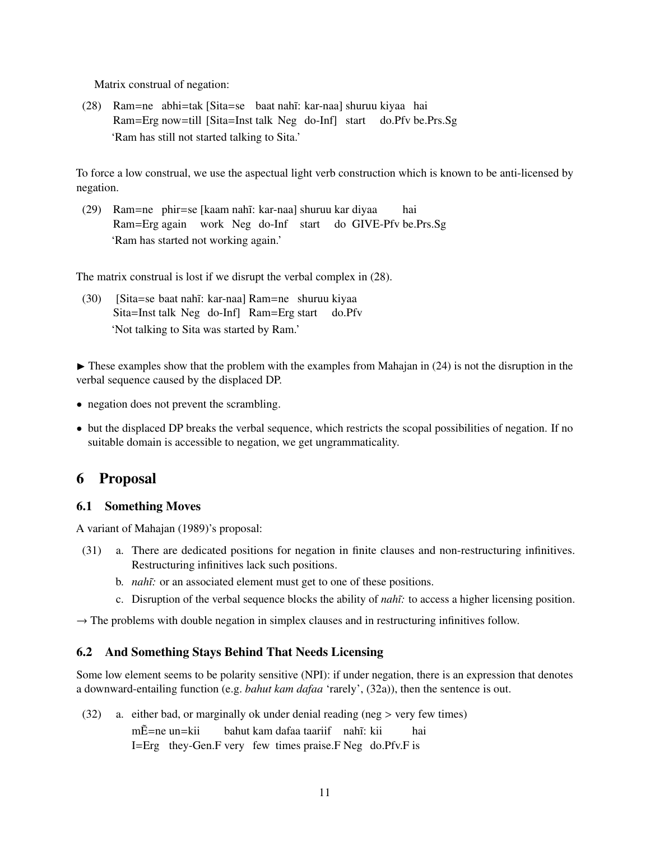Matrix construal of negation:

(28) Ram=ne abhi=tak [Sita=se baat nah˜ı: kar-naa] shuruu kiyaa hai Ram=Erg now=till [Sita=Inst talk Neg do-Inf] start do.Pfv be.Prs.Sg 'Ram has still not started talking to Sita.'

To force a low construal, we use the aspectual light verb construction which is known to be anti-licensed by negation.

(29) Ram=ne phir=se [kaam nah˜ı: kar-naa] shuruu kar diyaa Ram=Erg again work Neg do-Inf start do GIVE-Pfv be.Prs.Sg hai 'Ram has started not working again.'

The matrix construal is lost if we disrupt the verbal complex in (28).

(30) [Sita=se baat nah˜ı: kar-naa] Ram=ne shuruu kiyaa Sita=Inst talk Neg do-Inf] Ram=Erg start do.Pfv 'Not talking to Sita was started by Ram.'

 $\blacktriangleright$  These examples show that the problem with the examples from Mahajan in (24) is not the disruption in the verbal sequence caused by the displaced DP.

- negation does not prevent the scrambling.
- but the displaced DP breaks the verbal sequence, which restricts the scopal possibilities of negation. If no suitable domain is accessible to negation, we get ungrammaticality.

## 6 Proposal

#### 6.1 Something Moves

A variant of Mahajan (1989)'s proposal:

- (31) a. There are dedicated positions for negation in finite clauses and non-restructuring infinitives. Restructuring infinitives lack such positions.
	- b. *nah*i: or an associated element must get to one of these positions.
	- c. Disruption of the verbal sequence blocks the ability of *nah˜ı:* to access a higher licensing position.

 $\rightarrow$  The problems with double negation in simplex clauses and in restructuring infinitives follow.

#### 6.2 And Something Stays Behind That Needs Licensing

Some low element seems to be polarity sensitive (NPI): if under negation, there is an expression that denotes a downward-entailing function (e.g. *bahut kam dafaa* 'rarely', (32a)), then the sentence is out.

(32) a. either bad, or marginally ok under denial reading (neg > very few times)

mĒ=ne un=kii I=Erg they-Gen.F very few times praise.F Neg do.Pfv.F is bahut kam dafaa taariif nahî: kii hai